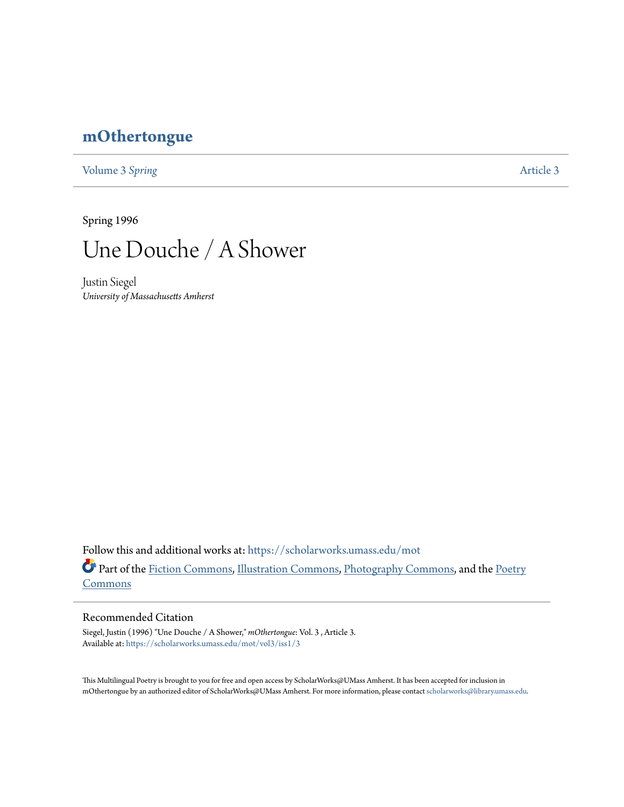## **[mOthertongue](https://scholarworks.umass.edu/mot?utm_source=scholarworks.umass.edu%2Fmot%2Fvol3%2Fiss1%2F3&utm_medium=PDF&utm_campaign=PDFCoverPages)**

[Volume 3](https://scholarworks.umass.edu/mot/vol3?utm_source=scholarworks.umass.edu%2Fmot%2Fvol3%2Fiss1%2F3&utm_medium=PDF&utm_campaign=PDFCoverPages) Spring **[Article 3](https://scholarworks.umass.edu/mot/vol3/iss1/3?utm_source=scholarworks.umass.edu%2Fmot%2Fvol3%2Fiss1%2F3&utm_medium=PDF&utm_campaign=PDFCoverPages)** 

Spring 1996



Justin Siegel *University of Massachusetts Amherst*

Follow this and additional works at: [https://scholarworks.umass.edu/mot](https://scholarworks.umass.edu/mot?utm_source=scholarworks.umass.edu%2Fmot%2Fvol3%2Fiss1%2F3&utm_medium=PDF&utm_campaign=PDFCoverPages) Part of the [Fiction Commons](http://network.bepress.com/hgg/discipline/1151?utm_source=scholarworks.umass.edu%2Fmot%2Fvol3%2Fiss1%2F3&utm_medium=PDF&utm_campaign=PDFCoverPages), [Illustration Commons,](http://network.bepress.com/hgg/discipline/1135?utm_source=scholarworks.umass.edu%2Fmot%2Fvol3%2Fiss1%2F3&utm_medium=PDF&utm_campaign=PDFCoverPages) [Photography Commons,](http://network.bepress.com/hgg/discipline/1142?utm_source=scholarworks.umass.edu%2Fmot%2Fvol3%2Fiss1%2F3&utm_medium=PDF&utm_campaign=PDFCoverPages) and the [Poetry](http://network.bepress.com/hgg/discipline/1153?utm_source=scholarworks.umass.edu%2Fmot%2Fvol3%2Fiss1%2F3&utm_medium=PDF&utm_campaign=PDFCoverPages) **[Commons](http://network.bepress.com/hgg/discipline/1153?utm_source=scholarworks.umass.edu%2Fmot%2Fvol3%2Fiss1%2F3&utm_medium=PDF&utm_campaign=PDFCoverPages)** 

## Recommended Citation

Siegel, Justin (1996) "Une Douche / A Shower," *mOthertongue*: Vol. 3 , Article 3. Available at: [https://scholarworks.umass.edu/mot/vol3/iss1/3](https://scholarworks.umass.edu/mot/vol3/iss1/3?utm_source=scholarworks.umass.edu%2Fmot%2Fvol3%2Fiss1%2F3&utm_medium=PDF&utm_campaign=PDFCoverPages)

This Multilingual Poetry is brought to you for free and open access by ScholarWorks@UMass Amherst. It has been accepted for inclusion in mOthertongue by an authorized editor of ScholarWorks@UMass Amherst. For more information, please contact [scholarworks@library.umass.edu](mailto:scholarworks@library.umass.edu).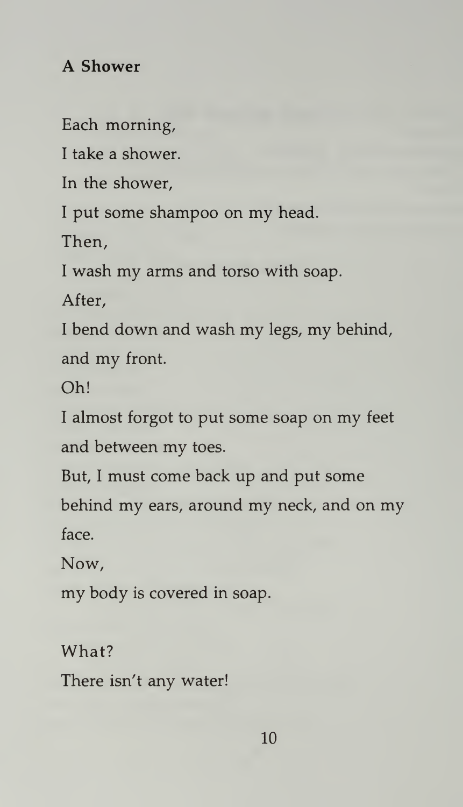## A Shower

Each morning,

<sup>I</sup> take a shower.

In the shower,

<sup>I</sup> put some shampoo on my head.

Then,

<sup>I</sup> wash my arms and torso with soap.

After,

<sup>I</sup> bend down and wash my legs, my behind, and my front.

Oh!

<sup>I</sup> almost forgot to put some soap on my feet and between my toes.

But, <sup>I</sup> must come back up and put some behind my ears, around my neck, and on my face.

Now,

my body is covered in soap.

What?

There isn't any water!